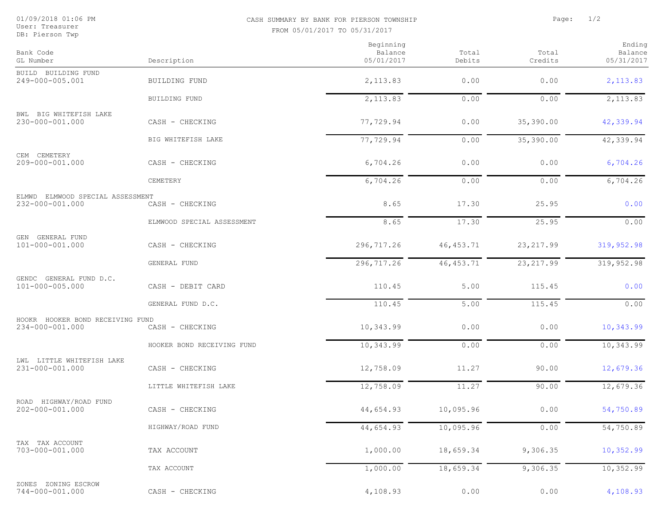User: Treasurer<br>DB: Pierson Twp

## 01/09/2018 01:06 PM CASH SUMMARY BY BANK FOR PIERSON TOWNSHIP Page: 1/2 FROM 05/01/2017 TO 05/31/2017

| Bank Code                                           | Description                | Beginning<br>Balance<br>05/01/2017 | Total      | Total      | Ending<br>Balance<br>05/31/2017 |
|-----------------------------------------------------|----------------------------|------------------------------------|------------|------------|---------------------------------|
| GL Number                                           |                            |                                    | Debits     | Credits    |                                 |
| BUILD BUILDING FUND<br>249-000-005.001              | BUILDING FUND              | 2,113.83                           | 0.00       | 0.00       | 2,113.83                        |
|                                                     | BUILDING FUND              | 2, 113.83                          | 0.00       | 0.00       | 2,113.83                        |
| BWL BIG WHITEFISH LAKE<br>230-000-001.000           | CASH - CHECKING            | 77,729.94                          | 0.00       | 35,390.00  | 42,339.94                       |
|                                                     | BIG WHITEFISH LAKE         | 77,729.94                          | 0.00       | 35,390.00  | 42,339.94                       |
| CEM CEMETERY<br>209-000-001.000                     | CASH - CHECKING            | 6,704.26                           | 0.00       | 0.00       | 6,704.26                        |
|                                                     | CEMETERY                   | 6,704.26                           | 0.00       | 0.00       | 6,704.26                        |
| ELMWD ELMWOOD SPECIAL ASSESSMENT<br>232-000-001.000 | CASH - CHECKING            | 8.65                               | 17.30      | 25.95      | 0.00                            |
|                                                     | ELMWOOD SPECIAL ASSESSMENT | 8.65                               | 17.30      | 25.95      | 0.00                            |
| GEN GENERAL FUND<br>101-000-001.000                 | CASH - CHECKING            | 296,717.26                         | 46, 453.71 | 23, 217.99 | 319, 952.98                     |
|                                                     | GENERAL FUND               | 296,717.26                         | 46, 453.71 | 23, 217.99 | 319,952.98                      |
| GENDC GENERAL FUND D.C.<br>101-000-005.000          | CASH - DEBIT CARD          | 110.45                             | 5.00       | 115.45     | 0.00                            |
|                                                     | GENERAL FUND D.C.          | 110.45                             | 5.00       | 115.45     | 0.00                            |
| HOOKR HOOKER BOND RECEIVING FUND<br>234-000-001.000 | CASH - CHECKING            | 10,343.99                          | 0.00       | 0.00       | 10,343.99                       |
|                                                     | HOOKER BOND RECEIVING FUND | 10,343.99                          | 0.00       | 0.00       | 10,343.99                       |
| LWL LITTLE WHITEFISH LAKE<br>231-000-001.000        | CASH - CHECKING            | 12,758.09                          | 11.27      | 90.00      | 12,679.36                       |
|                                                     | LITTLE WHITEFISH LAKE      | 12,758.09                          | 11.27      | 90.00      | 12,679.36                       |
| ROAD HIGHWAY/ROAD FUND<br>202-000-001.000           | CASH - CHECKING            | 44,654.93                          | 10,095.96  | 0.00       | 54,750.89                       |
|                                                     | HIGHWAY/ROAD FUND          | 44,654.93                          | 10,095.96  | 0.00       | 54,750.89                       |
| TAX TAX ACCOUNT<br>703-000-001.000                  | TAX ACCOUNT                | 1,000.00                           | 18,659.34  | 9,306.35   | 10,352.99                       |
|                                                     | TAX ACCOUNT                | 1,000.00                           | 18,659.34  | 9,306.35   | 10,352.99                       |
| ZONES ZONING ESCROW<br>744-000-001.000              | CASH - CHECKING            | 4,108.93                           | 0.00       | 0.00       | 4,108.93                        |